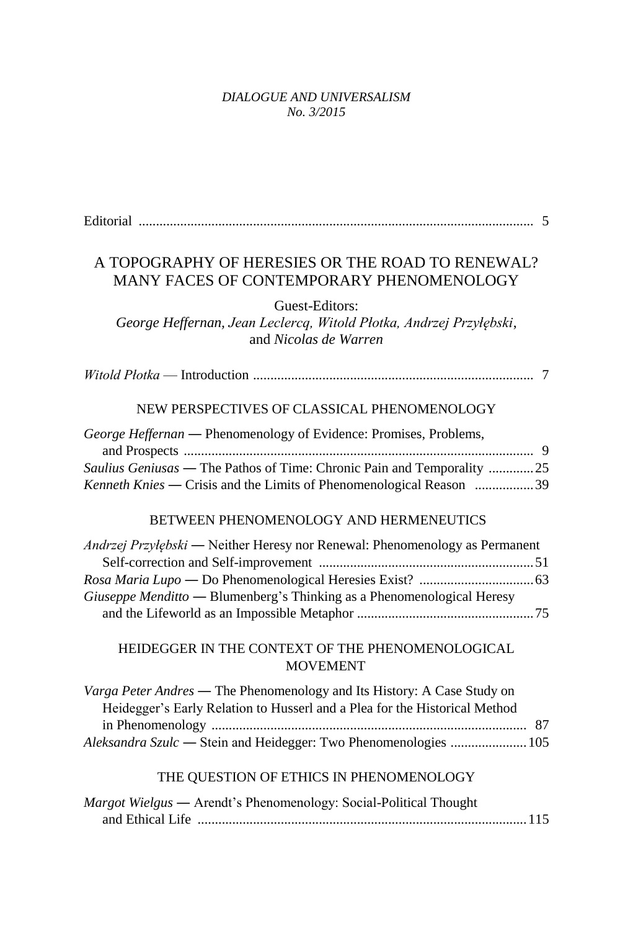## *DIALOGUE AND UNIVERSALISM No. 3/2015*

| A TOPOGRAPHY OF HERESIES OR THE ROAD TO RENEWAL?<br>MANY FACES OF CONTEMPORARY PHENOMENOLOGY                                                                                                                              |
|---------------------------------------------------------------------------------------------------------------------------------------------------------------------------------------------------------------------------|
| Guest-Editors:<br>George Heffernan, Jean Leclercq, Witold Płotka, Andrzej Przyłębski,<br>and Nicolas de Warren                                                                                                            |
|                                                                                                                                                                                                                           |
| NEW PERSPECTIVES OF CLASSICAL PHENOMENOLOGY                                                                                                                                                                               |
| George Heffernan - Phenomenology of Evidence: Promises, Problems,<br>Saulius Geniusas — The Pathos of Time: Chronic Pain and Temporality 25<br>Kenneth Knies — Crisis and the Limits of Phenomenological Reason 39        |
| BETWEEN PHENOMENOLOGY AND HERMENEUTICS                                                                                                                                                                                    |
| Andrzej Przyłębski — Neither Heresy nor Renewal: Phenomenology as Permanent<br>Giuseppe Menditto — Blumenberg's Thinking as a Phenomenological Heresy                                                                     |
| HEIDEGGER IN THE CONTEXT OF THE PHENOMENOLOGICAL<br><b>MOVEMENT</b>                                                                                                                                                       |
| Varga Peter Andres - The Phenomenology and Its History: A Case Study on<br>Heidegger's Early Relation to Husserl and a Plea for the Historical Method<br>Aleksandra Szulc - Stein and Heidegger: Two Phenomenologies  105 |
| THE QUESTION OF ETHICS IN PHENOMENOLOGY                                                                                                                                                                                   |
| Margot Wielgus — Arendt's Phenomenology: Social-Political Thought                                                                                                                                                         |